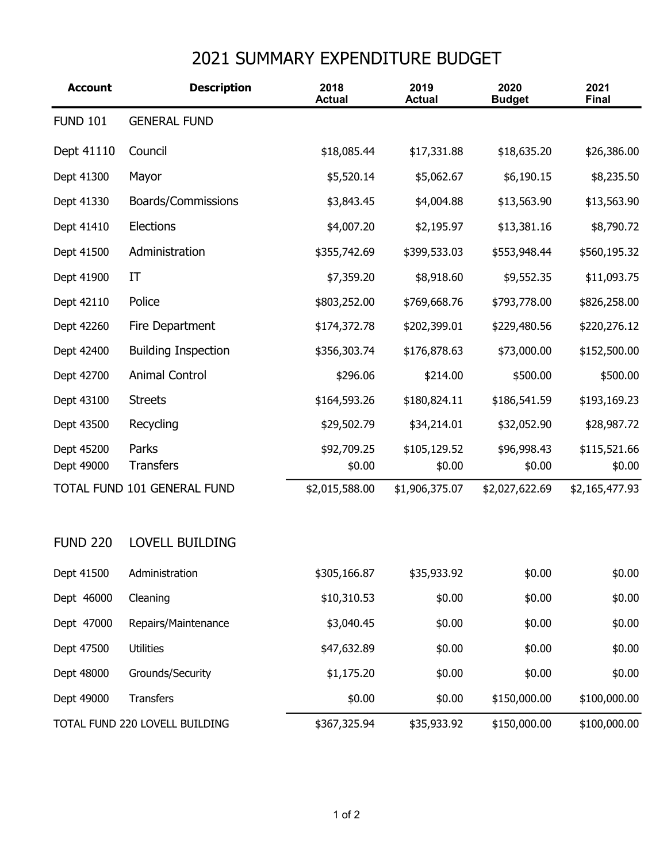## 2021 SUMMARY EXPENDITURE BUDGET

| <b>Account</b>                 | <b>Description</b>          | 2018<br><b>Actual</b> | 2019<br><b>Actual</b>  | 2020<br><b>Budget</b> | 2021<br><b>Final</b>   |
|--------------------------------|-----------------------------|-----------------------|------------------------|-----------------------|------------------------|
| <b>FUND 101</b>                | <b>GENERAL FUND</b>         |                       |                        |                       |                        |
| Dept 41110                     | Council                     | \$18,085.44           | \$17,331.88            | \$18,635.20           | \$26,386.00            |
| Dept 41300                     | Mayor                       | \$5,520.14            | \$5,062.67             | \$6,190.15            | \$8,235.50             |
| Dept 41330                     | Boards/Commissions          | \$3,843.45            | \$4,004.88             | \$13,563.90           | \$13,563.90            |
| Dept 41410                     | <b>Elections</b>            | \$4,007.20            | \$2,195.97             | \$13,381.16           | \$8,790.72             |
| Dept 41500                     | Administration              | \$355,742.69          | \$399,533.03           | \$553,948.44          | \$560,195.32           |
| Dept 41900                     | IT                          | \$7,359.20            | \$8,918.60             | \$9,552.35            | \$11,093.75            |
| Dept 42110                     | Police                      | \$803,252.00          | \$769,668.76           | \$793,778.00          | \$826,258.00           |
| Dept 42260                     | Fire Department             | \$174,372.78          | \$202,399.01           | \$229,480.56          | \$220,276.12           |
| Dept 42400                     | <b>Building Inspection</b>  | \$356,303.74          | \$176,878.63           | \$73,000.00           | \$152,500.00           |
| Dept 42700                     | <b>Animal Control</b>       | \$296.06              | \$214.00               | \$500.00              | \$500.00               |
| Dept 43100                     | <b>Streets</b>              | \$164,593.26          | \$180,824.11           | \$186,541.59          | \$193,169.23           |
| Dept 43500                     | Recycling                   | \$29,502.79           | \$34,214.01            | \$32,052.90           | \$28,987.72            |
| Dept 45200<br>Dept 49000       | Parks<br><b>Transfers</b>   | \$92,709.25<br>\$0.00 | \$105,129.52<br>\$0.00 | \$96,998.43<br>\$0.00 | \$115,521.66<br>\$0.00 |
|                                | TOTAL FUND 101 GENERAL FUND | \$2,015,588.00        | \$1,906,375.07         | \$2,027,622.69        | \$2,165,477.93         |
|                                |                             |                       |                        |                       |                        |
| <b>FUND 220</b>                | <b>LOVELL BUILDING</b>      |                       |                        |                       |                        |
| Dept 41500                     | Administration              | \$305,166.87          | \$35,933.92            | \$0.00                | \$0.00                 |
| Dept 46000                     | Cleaning                    | \$10,310.53           | \$0.00                 | \$0.00                | \$0.00                 |
| Dept 47000                     | Repairs/Maintenance         | \$3,040.45            | \$0.00                 | \$0.00                | \$0.00                 |
| Dept 47500                     | <b>Utilities</b>            | \$47,632.89           | \$0.00                 | \$0.00                | \$0.00                 |
| Dept 48000                     | Grounds/Security            | \$1,175.20            | \$0.00                 | \$0.00                | \$0.00                 |
| Dept 49000                     | Transfers                   | \$0.00                | \$0.00                 | \$150,000.00          | \$100,000.00           |
| TOTAL FUND 220 LOVELL BUILDING |                             | \$367,325.94          | \$35,933.92            | \$150,000.00          | \$100,000.00           |